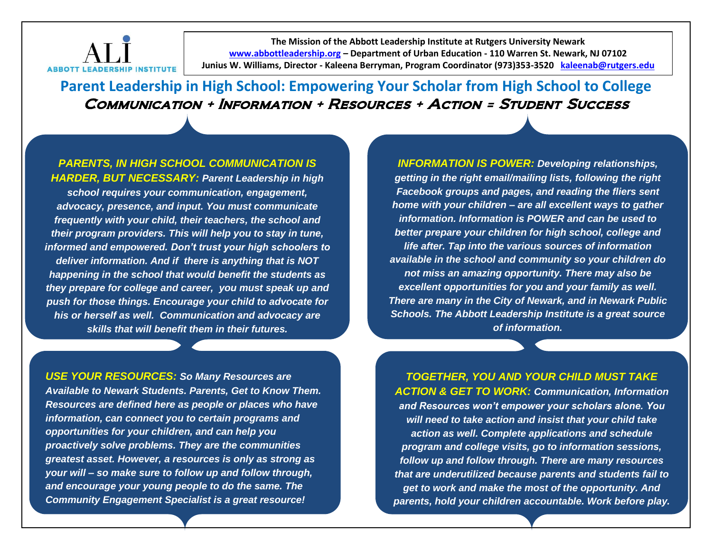

**The Mission of the Abbott Leadership Institute at Rutgers University Newark [www.abbottleadership.org](http://www.abbottleadership.org/) – Department of Urban Education - 110 Warren St. Newark, NJ 07102 Junius W. Williams, Director - Kaleena Berryman, Program Coordinator (973)353-3520 [kaleenab@rutgers.edu](mailto:kaleenab@rutgers.edu)**

**Parent Leadership in High School: Empowering Your Scholar from High School to College**  Communication + Information + Resources + Action = Student Success

*PARENTS, IN HIGH SCHOOL COMMUNICATION IS HARDER, BUT NECESSARY: Parent Leadership in high school requires your communication, engagement, advocacy, presence, and input. You must communicate frequently with your child, their teachers, the school and their program providers. This will help you to stay in tune, informed and empowered. Don't trust your high schoolers to deliver information. And if there is anything that is NOT happening in the school that would benefit the students as they prepare for college and career, you must speak up and push for those things. Encourage your child to advocate for his or herself as well. Communication and advocacy are skills that will benefit them in their futures.* 

*INFORMATION IS POWER: Developing relationships, getting in the right email/mailing lists, following the right Facebook groups and pages, and reading the fliers sent home with your children – are all excellent ways to gather information. Information is POWER and can be used to better prepare your children for high school, college and life after. Tap into the various sources of information available in the school and community so your children do not miss an amazing opportunity. There may also be excellent opportunities for you and your family as well. There are many in the City of Newark, and in Newark Public Schools. The Abbott Leadership Institute is a great source of information.* 

*USE YOUR RESOURCES: So Many Resources are Available to Newark Students. Parents, Get to Know Them. Resources are defined here as people or places who have information, can connect you to certain programs and opportunities for your children, and can help you proactively solve problems. They are the communities greatest asset. However, a resources is only as strong as your will – so make sure to follow up and follow through, and encourage your young people to do the same. The Community Engagement Specialist is a great resource!*

*TOGETHER, YOU AND YOUR CHILD MUST TAKE ACTION & GET TO WORK: Communication, Information and Resources won't empower your scholars alone. You will need to take action and insist that your child take action as well. Complete applications and schedule program and college visits, go to information sessions, follow up and follow through. There are many resources that are underutilized because parents and students fail to get to work and make the most of the opportunity. And parents, hold your children accountable. Work before play.*